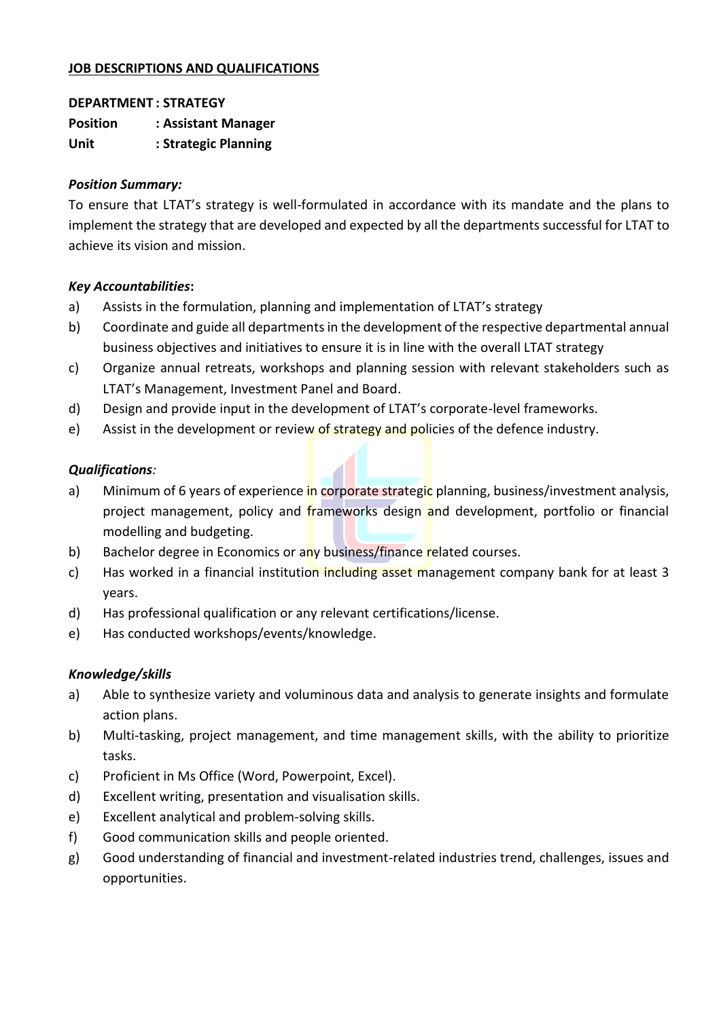## **JOB DESCRIPTIONS AND QUALIFICATIONS**

#### **DEPARTMENT : STRATEGY**

**Position : Assistant Manager Unit : Strategic Planning**

#### *Position Summary:*

To ensure that LTAT's strategy is well-formulated in accordance with its mandate and the plans to implement the strategy that are developed and expected by all the departments successful for LTAT to achieve its vision and mission.

### *Key Accountabilities***:**

- a) Assists in the formulation, planning and implementation of LTAT's strategy
- b) Coordinate and guide all departments in the development of the respective departmental annual business objectives and initiatives to ensure it is in line with the overall LTAT strategy
- c) Organize annual retreats, workshops and planning session with relevant stakeholders such as LTAT's Management, Investment Panel and Board.
- d) Design and provide input in the development of LTAT's corporate-level frameworks.
- e) Assist in the development or review of strategy and policies of the defence industry.

### *Qualifications:*

- a) Minimum of 6 years of experience in corporate strategic planning, business/investment analysis, project management, policy and frameworks design and development, portfolio or financial modelling and budgeting.
- b) Bachelor degree in Economics or any business/finance related courses.
- c) Has worked in a financial institution including asset management company bank for at least 3 years.
- d) Has professional qualification or any relevant certifications/license.
- e) Has conducted workshops/events/knowledge.

- a) Able to synthesize variety and voluminous data and analysis to generate insights and formulate action plans.
- b) Multi-tasking, project management, and time management skills, with the ability to prioritize tasks.
- c) Proficient in Ms Office (Word, Powerpoint, Excel).
- d) Excellent writing, presentation and visualisation skills.
- e) Excellent analytical and problem-solving skills.
- f) Good communication skills and people oriented.
- g) Good understanding of financial and investment-related industries trend, challenges, issues and opportunities.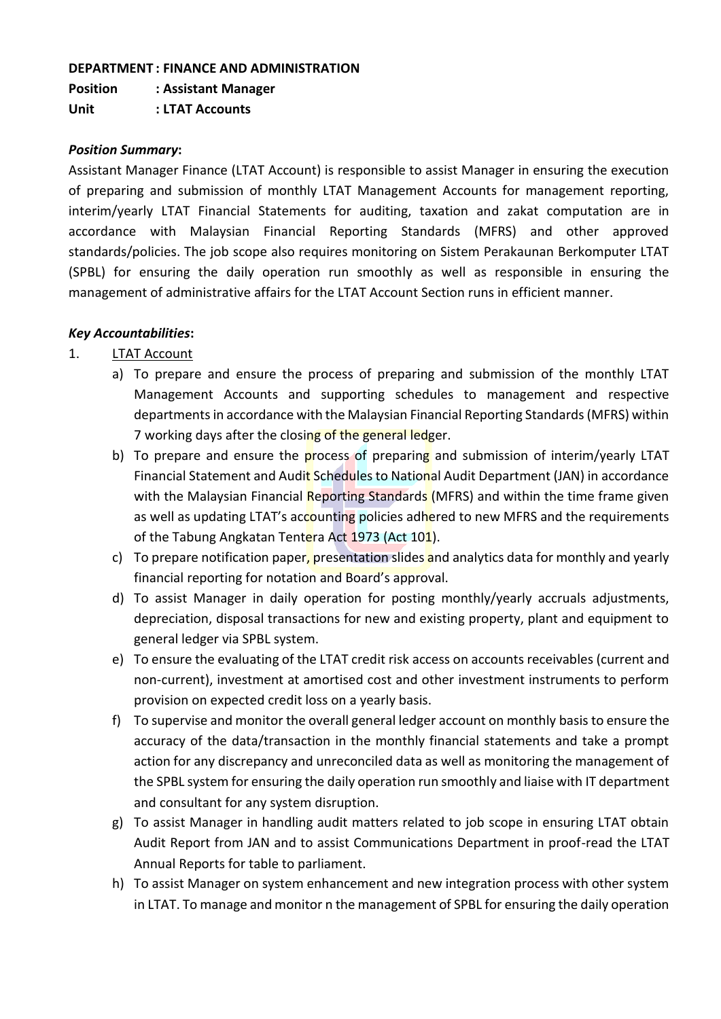#### **DEPARTMENT : FINANCE AND ADMINISTRATION**

**Position : Assistant Manager Unit : LTAT Accounts**

#### *Position Summary***:**

Assistant Manager Finance (LTAT Account) is responsible to assist Manager in ensuring the execution of preparing and submission of monthly LTAT Management Accounts for management reporting, interim/yearly LTAT Financial Statements for auditing, taxation and zakat computation are in accordance with Malaysian Financial Reporting Standards (MFRS) and other approved standards/policies. The job scope also requires monitoring on Sistem Perakaunan Berkomputer LTAT (SPBL) for ensuring the daily operation run smoothly as well as responsible in ensuring the management of administrative affairs for the LTAT Account Section runs in efficient manner.

### *Key Accountabilities***:**

- 1. LTAT Account
	- a) To prepare and ensure the process of preparing and submission of the monthly LTAT Management Accounts and supporting schedules to management and respective departments in accordance with the Malaysian Financial Reporting Standards (MFRS) within 7 working days after the closing of the general ledger.
	- b) To prepare and ensure the process of preparing and submission of interim/yearly LTAT Financial Statement and Audit Schedules to National Audit Department (JAN) in accordance with the Malaysian Financial Reporting Standards (MFRS) and within the time frame given as well as updating LTAT's accounting policies adhered to new MFRS and the requirements of the Tabung Angkatan Tentera Act 1973 (Act 101).
	- c) To prepare notification paper, presentation slides and analytics data for monthly and yearly financial reporting for notation and Board's approval.
	- d) To assist Manager in daily operation for posting monthly/yearly accruals adjustments, depreciation, disposal transactions for new and existing property, plant and equipment to general ledger via SPBL system.
	- e) To ensure the evaluating of the LTAT credit risk access on accounts receivables (current and non-current), investment at amortised cost and other investment instruments to perform provision on expected credit loss on a yearly basis.
	- f) To supervise and monitor the overall general ledger account on monthly basis to ensure the accuracy of the data/transaction in the monthly financial statements and take a prompt action for any discrepancy and unreconciled data as well as monitoring the management of the SPBL system for ensuring the daily operation run smoothly and liaise with IT department and consultant for any system disruption.
	- g) To assist Manager in handling audit matters related to job scope in ensuring LTAT obtain Audit Report from JAN and to assist Communications Department in proof-read the LTAT Annual Reports for table to parliament.
	- h) To assist Manager on system enhancement and new integration process with other system in LTAT. To manage and monitor n the management of SPBL for ensuring the daily operation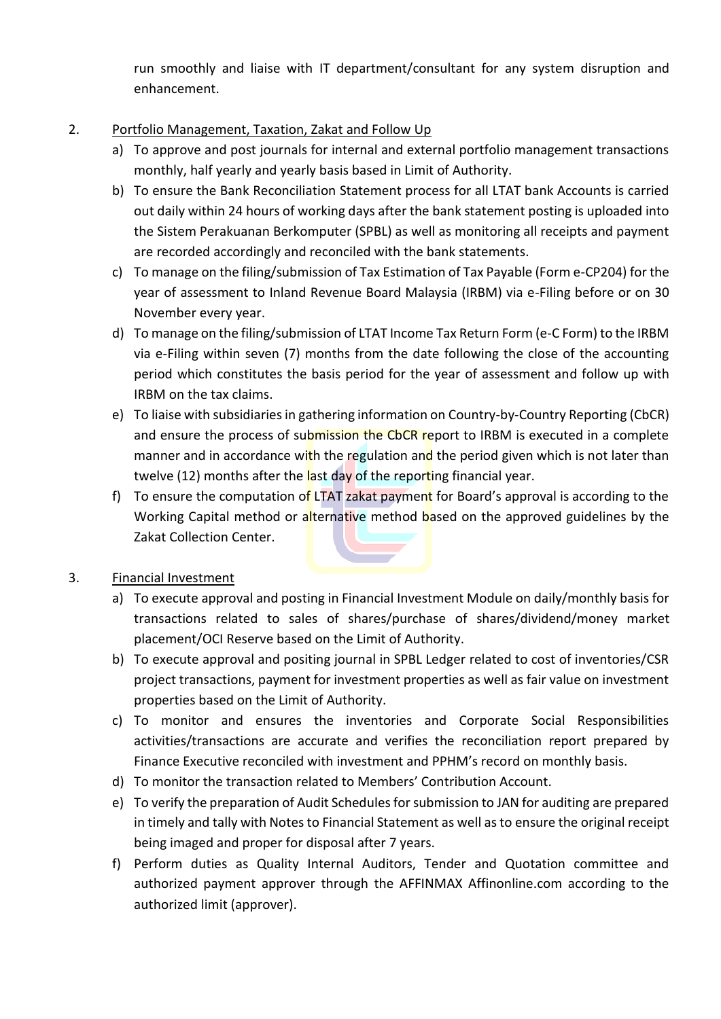run smoothly and liaise with IT department/consultant for any system disruption and enhancement.

- 2. Portfolio Management, Taxation, Zakat and Follow Up
	- a) To approve and post journals for internal and external portfolio management transactions monthly, half yearly and yearly basis based in Limit of Authority.
	- b) To ensure the Bank Reconciliation Statement process for all LTAT bank Accounts is carried out daily within 24 hours of working days after the bank statement posting is uploaded into the Sistem Perakuanan Berkomputer (SPBL) as well as monitoring all receipts and payment are recorded accordingly and reconciled with the bank statements.
	- c) To manage on the filing/submission of Tax Estimation of Tax Payable (Form e-CP204) for the year of assessment to Inland Revenue Board Malaysia (IRBM) via e-Filing before or on 30 November every year.
	- d) To manage on the filing/submission of LTAT Income Tax Return Form (e-C Form) to the IRBM via e-Filing within seven (7) months from the date following the close of the accounting period which constitutes the basis period for the year of assessment and follow up with IRBM on the tax claims.
	- e) To liaise with subsidiaries in gathering information on Country-by-Country Reporting (CbCR) and ensure the process of submission the CbCR report to IRBM is executed in a complete manner and in accordance with the regulation and the period given which is not later than twelve (12) months after the last day of the reporting financial year.
	- f) To ensure the computation of LTAT zakat payment for Board's approval is according to the Working Capital method or alternative method based on the approved guidelines by the Zakat Collection Center.
- 3. Financial Investment
	- a) To execute approval and posting in Financial Investment Module on daily/monthly basis for transactions related to sales of shares/purchase of shares/dividend/money market placement/OCI Reserve based on the Limit of Authority.
	- b) To execute approval and positing journal in SPBL Ledger related to cost of inventories/CSR project transactions, payment for investment properties as well as fair value on investment properties based on the Limit of Authority.
	- c) To monitor and ensures the inventories and Corporate Social Responsibilities activities/transactions are accurate and verifies the reconciliation report prepared by Finance Executive reconciled with investment and PPHM's record on monthly basis.
	- d) To monitor the transaction related to Members' Contribution Account.
	- e) To verify the preparation of Audit Schedules for submission to JAN for auditing are prepared in timely and tally with Notes to Financial Statement as well as to ensure the original receipt being imaged and proper for disposal after 7 years.
	- f) Perform duties as Quality Internal Auditors, Tender and Quotation committee and authorized payment approver through the AFFINMAX Affinonline.com according to the authorized limit (approver).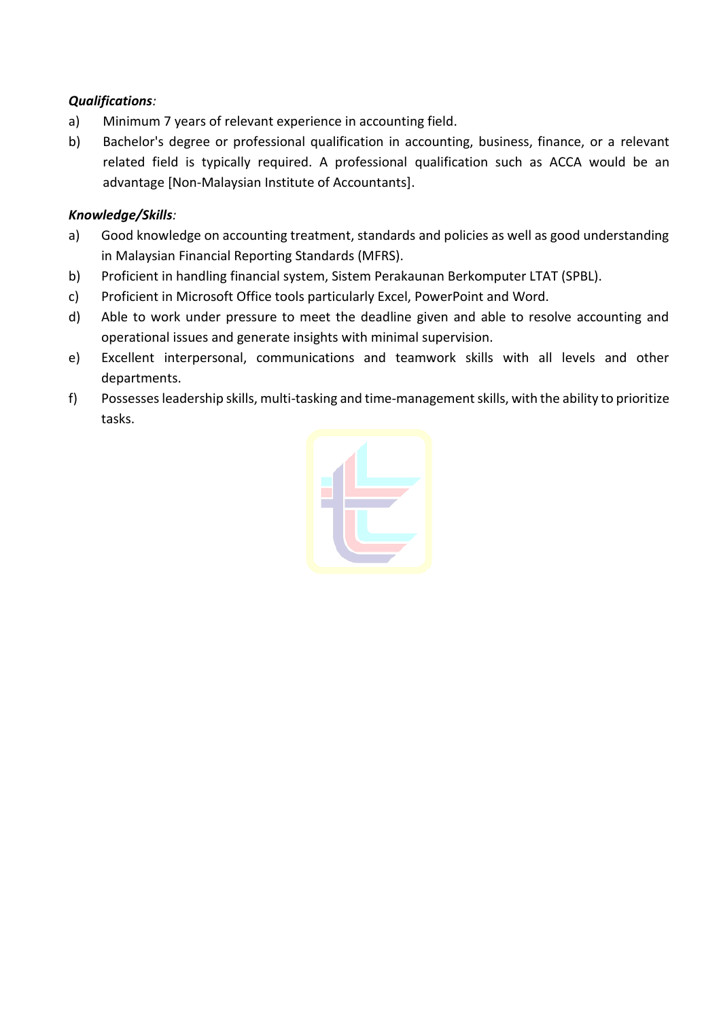- a) Minimum 7 years of relevant experience in accounting field.
- b) Bachelor's degree or professional qualification in accounting, business, finance, or a relevant related field is typically required. A professional qualification such as ACCA would be an advantage [Non-Malaysian Institute of Accountants].

- a) Good knowledge on accounting treatment, standards and policies as well as good understanding in Malaysian Financial Reporting Standards (MFRS).
- b) Proficient in handling financial system, Sistem Perakaunan Berkomputer LTAT (SPBL).
- c) Proficient in Microsoft Office tools particularly Excel, PowerPoint and Word.
- d) Able to work under pressure to meet the deadline given and able to resolve accounting and operational issues and generate insights with minimal supervision.
- e) Excellent interpersonal, communications and teamwork skills with all levels and other departments.
- f) Possesses leadership skills, multi-tasking and time-management skills, with the ability to prioritize tasks.

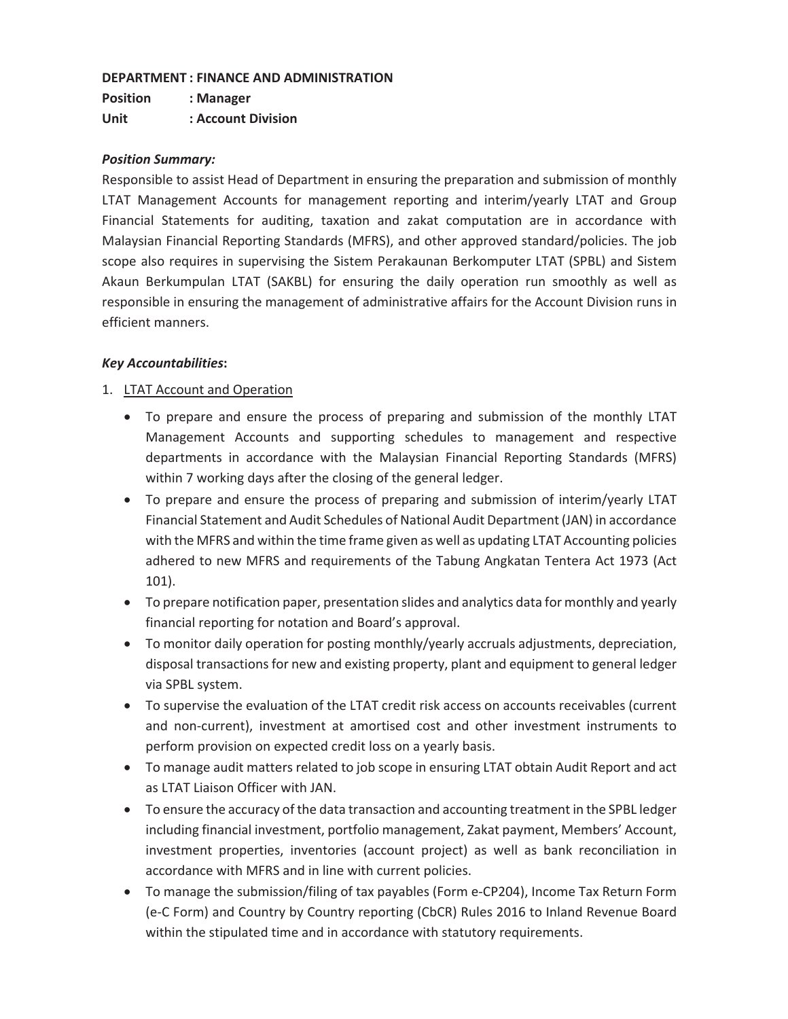#### **DEPARTMENT : FINANCE AND ADMINISTRATION**

**Position : Manager Unit : Account Division** 

#### *Position Summary:*

Responsible to assist Head of Department in ensuring the preparation and submission of monthly LTAT Management Accounts for management reporting and interim/yearly LTAT and Group Financial Statements for auditing, taxation and zakat computation are in accordance with Malaysian Financial Reporting Standards (MFRS), and other approved standard/policies. The job scope also requires in supervising the Sistem Perakaunan Berkomputer LTAT (SPBL) and Sistem Akaun Berkumpulan LTAT (SAKBL) for ensuring the daily operation run smoothly as well as responsible in ensuring the management of administrative affairs for the Account Division runs in efficient manners.

#### *Key Accountabilities***:**

#### 1. LTAT Account and Operation

- To prepare and ensure the process of preparing and submission of the monthly LTAT Management Accounts and supporting schedules to management and respective departments in accordance with the Malaysian Financial Reporting Standards (MFRS) within 7 working days after the closing of the general ledger.
- To prepare and ensure the process of preparing and submission of interim/yearly LTAT Financial Statement and Audit Schedules of National Audit Department (JAN) in accordance with the MFRS and within the time frame given as well as updating LTAT Accounting policies adhered to new MFRS and requirements of the Tabung Angkatan Tentera Act 1973 (Act 101).
- To prepare notification paper, presentation slides and analytics data for monthly and yearly financial reporting for notation and Board's approval.
- To monitor daily operation for posting monthly/yearly accruals adjustments, depreciation, disposal transactions for new and existing property, plant and equipment to general ledger via SPBL system.
- To supervise the evaluation of the LTAT credit risk access on accounts receivables (current and non-current), investment at amortised cost and other investment instruments to perform provision on expected credit loss on a yearly basis.
- To manage audit matters related to job scope in ensuring LTAT obtain Audit Report and act as LTAT Liaison Officer with JAN.
- To ensure the accuracy of the data transaction and accounting treatment in the SPBL ledger including financial investment, portfolio management, Zakat payment, Members' Account, investment properties, inventories (account project) as well as bank reconciliation in accordance with MFRS and in line with current policies.
- To manage the submission/filing of tax payables (Form e-CP204), Income Tax Return Form (e-C Form) and Country by Country reporting (CbCR) Rules 2016 to Inland Revenue Board within the stipulated time and in accordance with statutory requirements.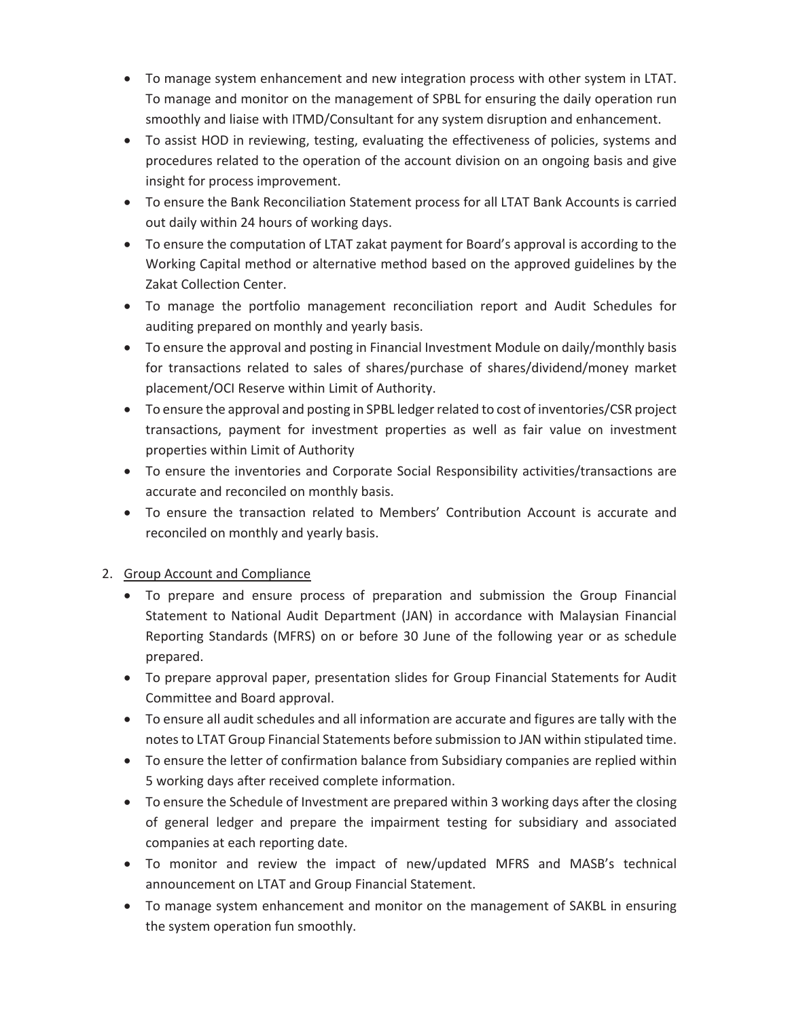- To manage system enhancement and new integration process with other system in LTAT. To manage and monitor on the management of SPBL for ensuring the daily operation run smoothly and liaise with ITMD/Consultant for any system disruption and enhancement.
- To assist HOD in reviewing, testing, evaluating the effectiveness of policies, systems and procedures related to the operation of the account division on an ongoing basis and give insight for process improvement.
- To ensure the Bank Reconciliation Statement process for all LTAT Bank Accounts is carried out daily within 24 hours of working days.
- To ensure the computation of LTAT zakat payment for Board's approval is according to the Working Capital method or alternative method based on the approved guidelines by the Zakat Collection Center.
- To manage the portfolio management reconciliation report and Audit Schedules for auditing prepared on monthly and yearly basis.
- To ensure the approval and posting in Financial Investment Module on daily/monthly basis for transactions related to sales of shares/purchase of shares/dividend/money market placement/OCI Reserve within Limit of Authority.
- To ensure the approval and posting in SPBL ledger related to cost of inventories/CSR project transactions, payment for investment properties as well as fair value on investment properties within Limit of Authority
- To ensure the inventories and Corporate Social Responsibility activities/transactions are accurate and reconciled on monthly basis.
- To ensure the transaction related to Members' Contribution Account is accurate and reconciled on monthly and yearly basis.

### 2. Group Account and Compliance

- To prepare and ensure process of preparation and submission the Group Financial Statement to National Audit Department (JAN) in accordance with Malaysian Financial Reporting Standards (MFRS) on or before 30 June of the following year or as schedule prepared.
- To prepare approval paper, presentation slides for Group Financial Statements for Audit Committee and Board approval.
- To ensure all audit schedules and all information are accurate and figures are tally with the notes to LTAT Group Financial Statements before submission to JAN within stipulated time.
- To ensure the letter of confirmation balance from Subsidiary companies are replied within 5 working days after received complete information.
- To ensure the Schedule of Investment are prepared within 3 working days after the closing of general ledger and prepare the impairment testing for subsidiary and associated companies at each reporting date.
- To monitor and review the impact of new/updated MFRS and MASB's technical announcement on LTAT and Group Financial Statement.
- To manage system enhancement and monitor on the management of SAKBL in ensuring the system operation fun smoothly.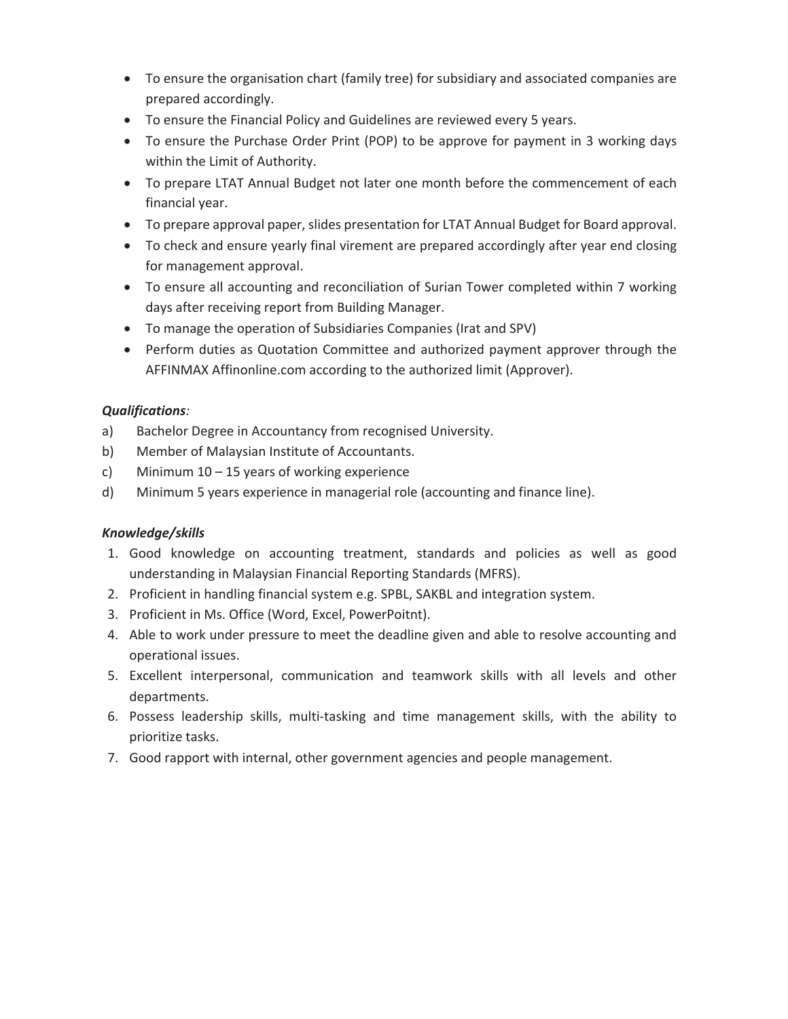- To ensure the organisation chart (family tree) for subsidiary and associated companies are prepared accordingly.
- To ensure the Financial Policy and Guidelines are reviewed every 5 years.
- To ensure the Purchase Order Print (POP) to be approve for payment in 3 working days within the Limit of Authority.
- To prepare LTAT Annual Budget not later one month before the commencement of each financial year.
- To prepare approval paper, slides presentation for LTAT Annual Budget for Board approval.
- To check and ensure yearly final virement are prepared accordingly after year end closing for management approval.
- To ensure all accounting and reconciliation of Surian Tower completed within 7 working days after receiving report from Building Manager.
- To manage the operation of Subsidiaries Companies (Irat and SPV)
- Perform duties as Quotation Committee and authorized payment approver through the AFFINMAX Affinonline.com according to the authorized limit (Approver).

- a) Bachelor Degree in Accountancy from recognised University.
- b) Member of Malaysian Institute of Accountants.
- c) Minimum 10 15 years of working experience
- d) Minimum 5 years experience in managerial role (accounting and finance line).

- 1. Good knowledge on accounting treatment, standards and policies as well as good understanding in Malaysian Financial Reporting Standards (MFRS).
- 2. Proficient in handling financial system e.g. SPBL, SAKBL and integration system.
- 3. Proficient in Ms. Office (Word, Excel, PowerPoitnt).
- 4. Able to work under pressure to meet the deadline given and able to resolve accounting and operational issues.
- 5. Excellent interpersonal, communication and teamwork skills with all levels and other departments.
- 6. Possess leadership skills, multi-tasking and time management skills, with the ability to prioritize tasks.
- 7. Good rapport with internal, other government agencies and people management.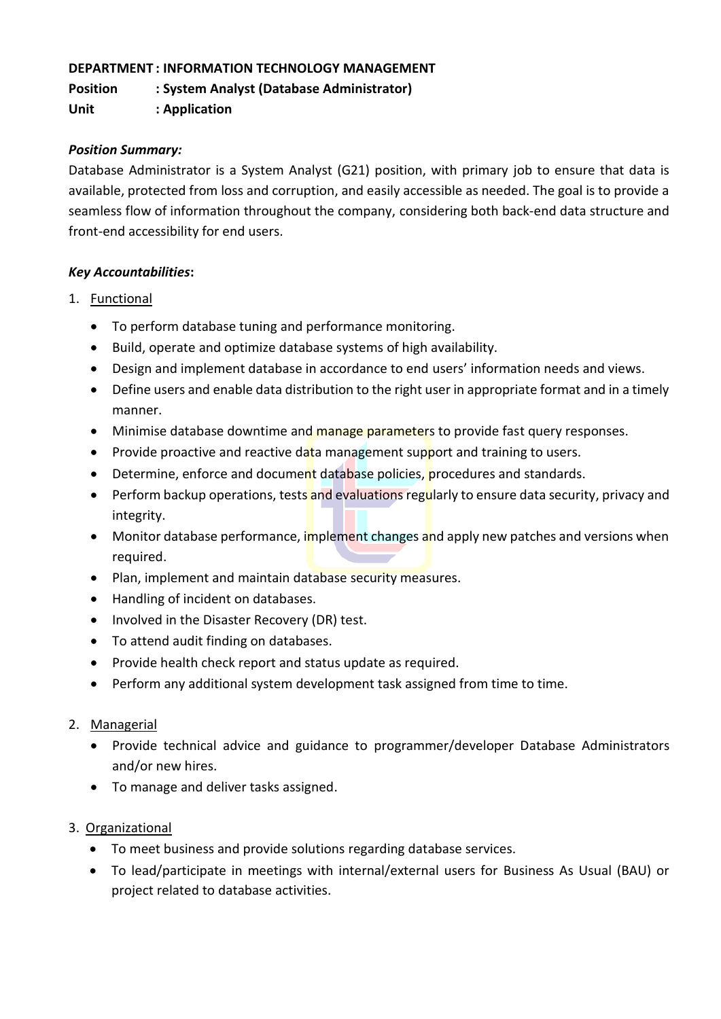### **DEPARTMENT : INFORMATION TECHNOLOGY MANAGEMENT**

**Position : System Analyst (Database Administrator)**

**Unit : Application**

## *Position Summary:*

Database Administrator is a System Analyst (G21) position, with primary job to ensure that data is available, protected from loss and corruption, and easily accessible as needed. The goal is to provide a seamless flow of information throughout the company, considering both back-end data structure and front-end accessibility for end users.

### *Key Accountabilities***:**

- 1. Functional
	- To perform database tuning and performance monitoring.
	- Build, operate and optimize database systems of high availability.
	- Design and implement database in accordance to end users' information needs and views.
	- Define users and enable data distribution to the right user in appropriate format and in a timely manner.
	- Minimise database downtime and manage parameters to provide fast query responses.
	- Provide proactive and reactive data management support and training to users.
	- Determine, enforce and document database policies, procedures and standards.
	- Perform backup operations, tests and evaluations regularly to ensure data security, privacy and integrity.
	- Monitor database performance, implement changes and apply new patches and versions when required.
	- Plan, implement and maintain database security measures.
	- Handling of incident on databases.
	- Involved in the Disaster Recovery (DR) test.
	- To attend audit finding on databases.
	- Provide health check report and status update as required.
	- Perform any additional system development task assigned from time to time.

### 2. Managerial

- Provide technical advice and guidance to programmer/developer Database Administrators and/or new hires.
- To manage and deliver tasks assigned.

### 3. Organizational

- To meet business and provide solutions regarding database services.
- To lead/participate in meetings with internal/external users for Business As Usual (BAU) or project related to database activities.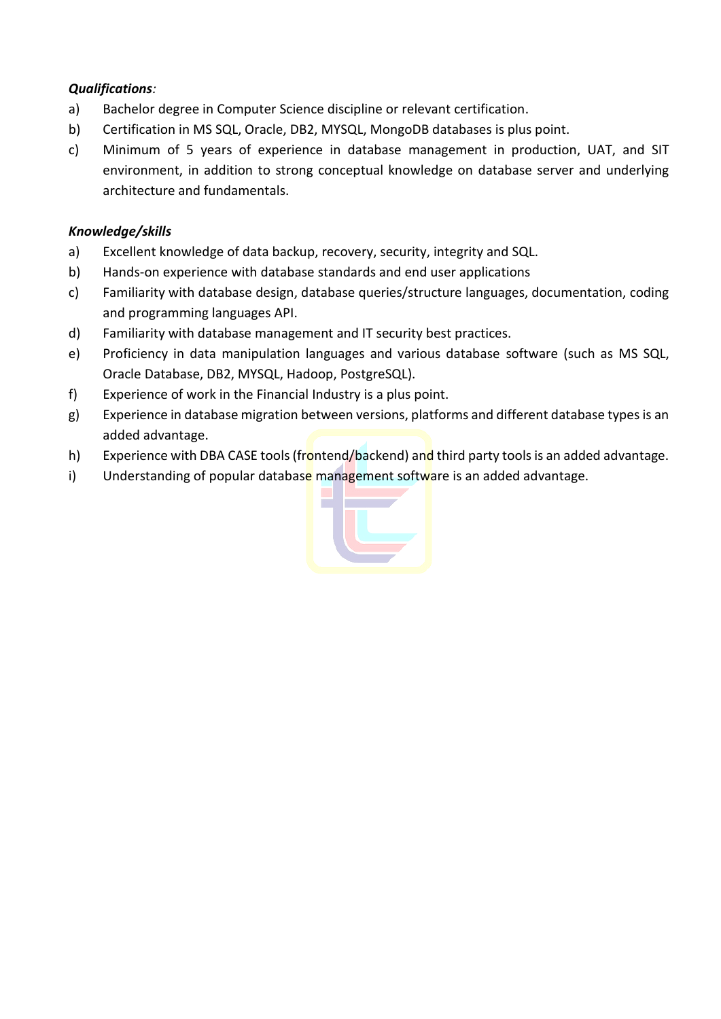- a) Bachelor degree in Computer Science discipline or relevant certification.
- b) Certification in MS SQL, Oracle, DB2, MYSQL, MongoDB databases is plus point.
- c) Minimum of 5 years of experience in database management in production, UAT, and SIT environment, in addition to strong conceptual knowledge on database server and underlying architecture and fundamentals.

- a) Excellent knowledge of data backup, recovery, security, integrity and SQL.
- b) Hands-on experience with database standards and end user applications
- c) Familiarity with database design, database queries/structure languages, documentation, coding and programming languages API.
- d) Familiarity with database management and IT security best practices.
- e) Proficiency in data manipulation languages and various database software (such as MS SQL, Oracle Database, DB2, MYSQL, Hadoop, PostgreSQL).
- f) Experience of work in the Financial Industry is a plus point.
- g) Experience in database migration between versions, platforms and different database types is an added advantage.
- h) Experience with DBA CASE tools (frontend/backend) and third party tools is an added advantage.
- i) Understanding of popular database management software is an added advantage.

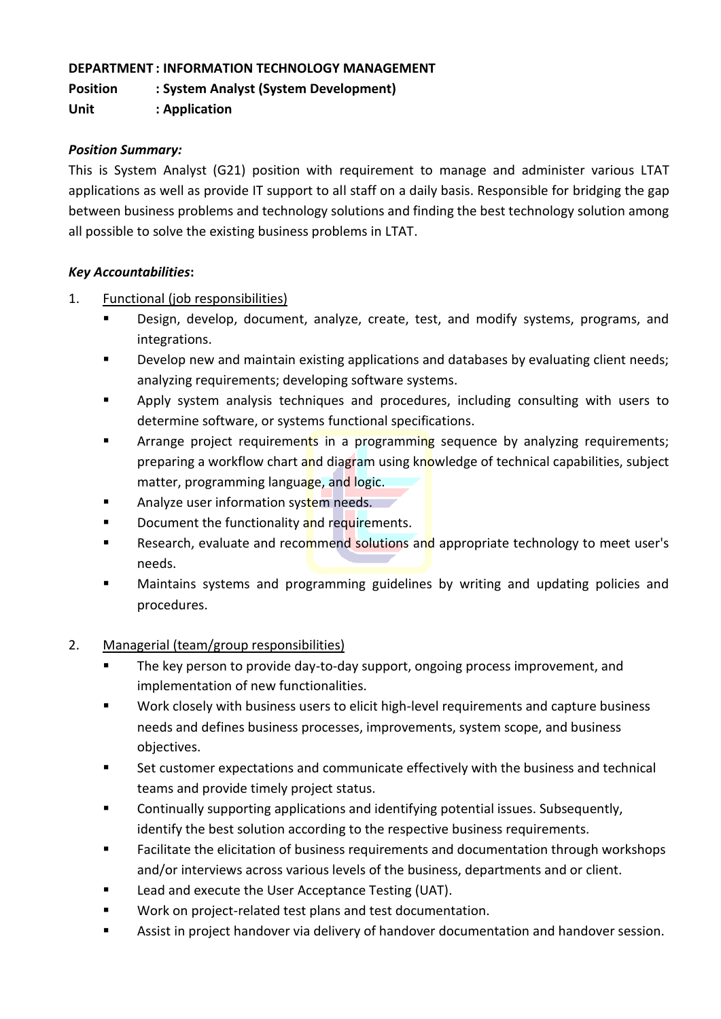### **DEPARTMENT : INFORMATION TECHNOLOGY MANAGEMENT**

**Position : System Analyst (System Development)**

**Unit : Application**

## *Position Summary:*

This is System Analyst (G21) position with requirement to manage and administer various LTAT applications as well as provide IT support to all staff on a daily basis. Responsible for bridging the gap between business problems and technology solutions and finding the best technology solution among all possible to solve the existing business problems in LTAT.

### *Key Accountabilities***:**

- 1. Functional (job responsibilities)
	- Design, develop, document, analyze, create, test, and modify systems, programs, and integrations.
	- Develop new and maintain existing applications and databases by evaluating client needs; analyzing requirements; developing software systems.
	- **•** Apply system analysis techniques and procedures, including consulting with users to determine software, or systems functional specifications.
	- **EXTED** Arrange project requirements in a programming sequence by analyzing requirements; preparing a workflow chart and diagram using knowledge of technical capabilities, subject matter, programming language, and logic.
	- Analyze user information system needs.
	- Document the functionality and requirements.
	- **EXE** Research, evaluate and recommend solutions and appropriate technology to meet user's needs.
	- Maintains systems and programming guidelines by writing and updating policies and procedures.

# 2. Managerial (team/group responsibilities)

- The key person to provide day-to-day support, ongoing process improvement, and implementation of new functionalities.
- Work closely with business users to elicit high-level requirements and capture business needs and defines business processes, improvements, system scope, and business objectives.
- Set customer expectations and communicate effectively with the business and technical teams and provide timely project status.
- Continually supporting applications and identifying potential issues. Subsequently, identify the best solution according to the respective business requirements.
- Facilitate the elicitation of business requirements and documentation through workshops and/or interviews across various levels of the business, departments and or client.
- Lead and execute the User Acceptance Testing (UAT).
- Work on project-related test plans and test documentation.
- Assist in project handover via delivery of handover documentation and handover session.